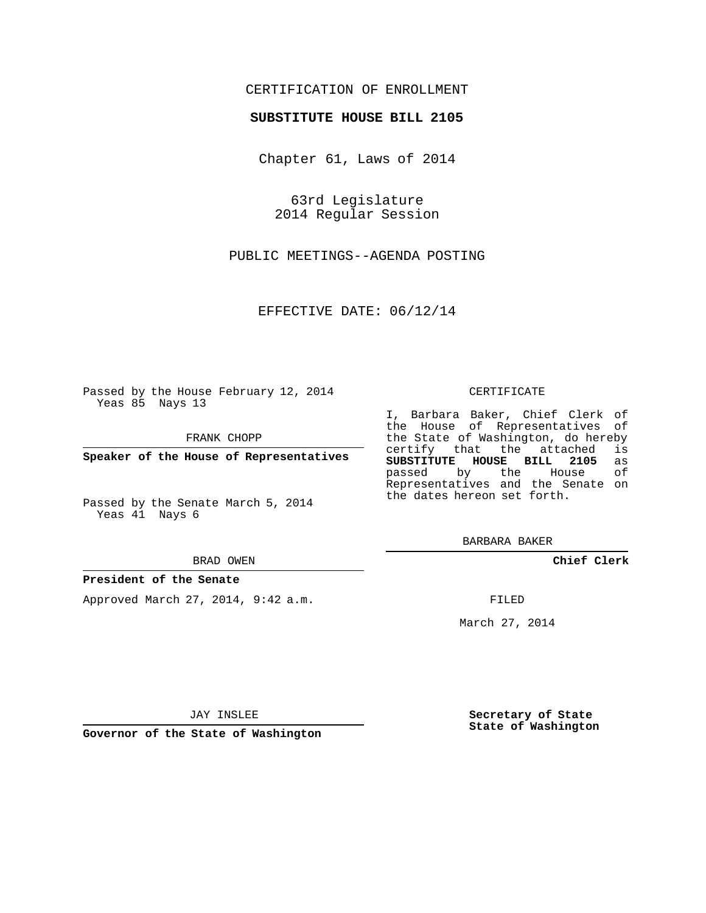### CERTIFICATION OF ENROLLMENT

#### **SUBSTITUTE HOUSE BILL 2105**

Chapter 61, Laws of 2014

63rd Legislature 2014 Regular Session

PUBLIC MEETINGS--AGENDA POSTING

EFFECTIVE DATE: 06/12/14

Passed by the House February 12, 2014 Yeas 85 Nays 13

FRANK CHOPP

**Speaker of the House of Representatives**

Passed by the Senate March 5, 2014 Yeas 41 Nays 6

BRAD OWEN

#### **President of the Senate**

Approved March 27, 2014, 9:42 a.m.

CERTIFICATE

I, Barbara Baker, Chief Clerk of the House of Representatives of the State of Washington, do hereby<br>certify that the attached is certify that the attached **SUBSTITUTE HOUSE BILL 2105** as passed by the Representatives and the Senate on the dates hereon set forth.

BARBARA BAKER

**Chief Clerk**

FILED

March 27, 2014

JAY INSLEE

**Governor of the State of Washington**

**Secretary of State State of Washington**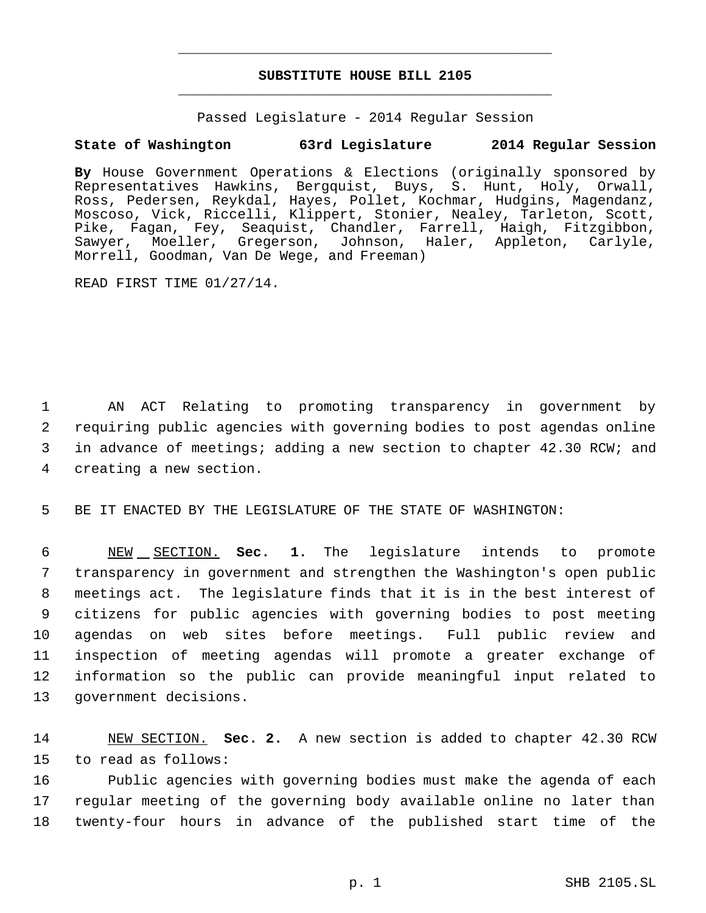# **SUBSTITUTE HOUSE BILL 2105** \_\_\_\_\_\_\_\_\_\_\_\_\_\_\_\_\_\_\_\_\_\_\_\_\_\_\_\_\_\_\_\_\_\_\_\_\_\_\_\_\_\_\_\_\_

\_\_\_\_\_\_\_\_\_\_\_\_\_\_\_\_\_\_\_\_\_\_\_\_\_\_\_\_\_\_\_\_\_\_\_\_\_\_\_\_\_\_\_\_\_

Passed Legislature - 2014 Regular Session

## **State of Washington 63rd Legislature 2014 Regular Session**

**By** House Government Operations & Elections (originally sponsored by Representatives Hawkins, Bergquist, Buys, S. Hunt, Holy, Orwall, Ross, Pedersen, Reykdal, Hayes, Pollet, Kochmar, Hudgins, Magendanz, Moscoso, Vick, Riccelli, Klippert, Stonier, Nealey, Tarleton, Scott, Pike, Fagan, Fey, Seaquist, Chandler, Farrell, Haigh, Fitzgibbon,<br>Sawyer, Moeller, Gregerson, Johnson, Haler, Appleton, Carlyle, Sawyer, Moeller, Gregerson, Johnson, Morrell, Goodman, Van De Wege, and Freeman)

READ FIRST TIME 01/27/14.

 AN ACT Relating to promoting transparency in government by requiring public agencies with governing bodies to post agendas online in advance of meetings; adding a new section to chapter 42.30 RCW; and creating a new section.

5 BE IT ENACTED BY THE LEGISLATURE OF THE STATE OF WASHINGTON:

 NEW SECTION. **Sec. 1.** The legislature intends to promote transparency in government and strengthen the Washington's open public meetings act. The legislature finds that it is in the best interest of citizens for public agencies with governing bodies to post meeting agendas on web sites before meetings. Full public review and inspection of meeting agendas will promote a greater exchange of information so the public can provide meaningful input related to government decisions.

14 NEW SECTION. **Sec. 2.** A new section is added to chapter 42.30 RCW 15 to read as follows:

16 Public agencies with governing bodies must make the agenda of each 17 regular meeting of the governing body available online no later than 18 twenty-four hours in advance of the published start time of the